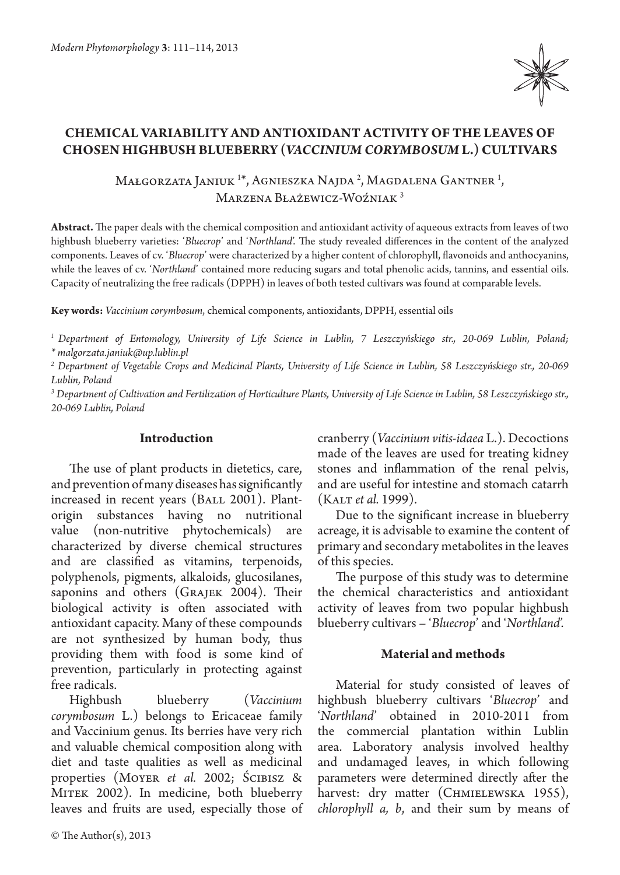

# **Chemical variability and antioxidant activity of the leaves of chosen highbush blueberry (***Vaccinium corymbosum* **L.) cultivars**

Małgorzata Janiuk <sup>1\*</sup>, Agnieszka Najda <sup>2</sup>, Magdalena Gantner <sup>1</sup>, Marzena Błażewicz-Woźniak 3

**Abstract.** The paper deals with the chemical composition and antioxidant activity of aqueous extracts from leaves of two highbush blueberry varieties: '*Bluecrop*' and '*Northland*'. The study revealed differences in the content of the analyzed components. Leaves of cv. '*Bluecrop*' were characterized by a higher content of chlorophyll, flavonoids and anthocyanins, while the leaves of cv. '*Northland*' contained more reducing sugars and total phenolic acids, tannins, and essential oils. Capacity of neutralizing the free radicals (DPPH) in leaves of both tested cultivars was found at comparable levels.

**Key words:** *Vaccinium corymbosum*, chemical components, antioxidants, DPPH, essential oils

*1 Department of Entomology, University of Life Science in Lublin, 7 Leszczyńskiego str., 20-069 Lublin, Poland; \* malgorzata.janiuk@up.lublin.pl*

*2 Department of Vegetable Crops and Medicinal Plants, University of Life Science in Lublin, 58 Leszczyńskiego str., 20-069 Lublin, Poland*

*3 Department of Cultivation and Fertilization of Horticulture Plants, University of Life Science in Lublin, 58 Leszczyńskiego str., 20-069 Lublin, Poland*

## **Introduction**

The use of plant products in dietetics, care, and prevention of many diseases has significantly increased in recent years (BALL 2001). Plantorigin substances having no nutritional value (non-nutritive phytochemicals) are characterized by diverse chemical structures and are classified as vitamins, terpenoids, polyphenols, pigments, alkaloids, glucosilanes, saponins and others (GRAJEK 2004). Their biological activity is often associated with antioxidant capacity. Many of these compounds are not synthesized by human body, thus providing them with food is some kind of prevention, particularly in protecting against free radicals.

Highbush blueberry (*Vaccinium corymbosum* L.) belongs to Ericaceae family and Vaccinium genus. Its berries have very rich and valuable chemical composition along with diet and taste qualities as well as medicinal properties (Moyer *et al.* 2002; Ścibisz & MITEK 2002). In medicine, both blueberry leaves and fruits are used, especially those of

© The Author(s), 2013

cranberry (*Vaccinium vitis-idaea* L.). Decoctions made of the leaves are used for treating kidney stones and inflammation of the renal pelvis, and are useful for intestine and stomach catarrh (Kalt *et al.* 1999).

Due to the significant increase in blueberry acreage, it is advisable to examine the content of primary and secondary metabolites in the leaves of this species.

The purpose of this study was to determine the chemical characteristics and antioxidant activity of leaves from two popular highbush blueberry cultivars – '*Bluecrop*' and '*Northland*'.

## **Material and methods**

Material for study consisted of leaves of highbush blueberry cultivars '*Bluecrop*' and '*Northland*' obtained in 2010-2011 from the commercial plantation within Lublin area. Laboratory analysis involved healthy and undamaged leaves, in which following parameters were determined directly after the harvest: dry matter (CHMIELEWSKA 1955), *chlorophyll a, b*, and their sum by means of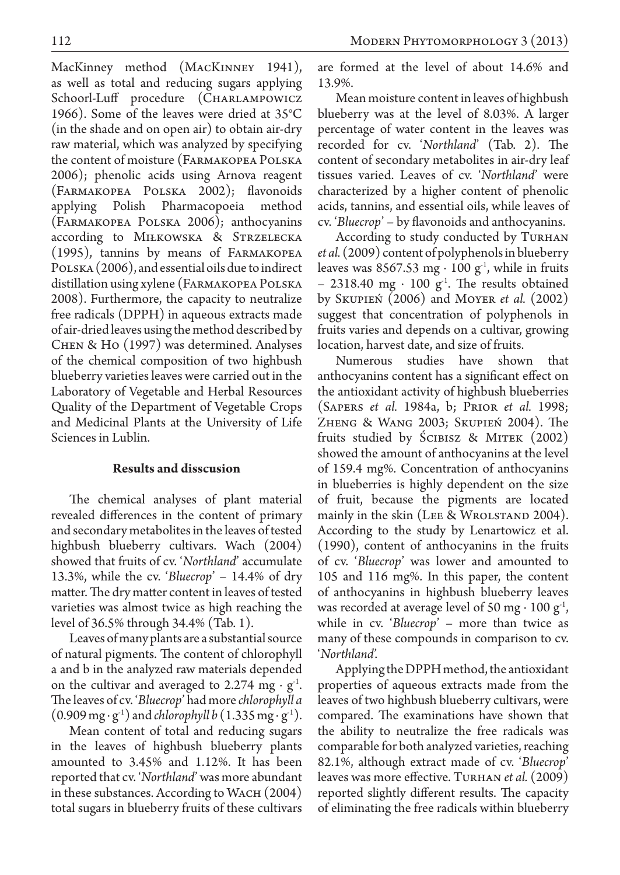MacKinney method (MACKINNEY 1941), as well as total and reducing sugars applying Schoorl-Luff procedure (CHARLAMPOWICZ 1966). Some of the leaves were dried at 35°C (in the shade and on open air) to obtain air-dry raw material, which was analyzed by specifying the content of moisture (Farmakopea Polska 2006); phenolic acids using Arnova reagent (Farmakopea Polska 2002); flavonoids applying Polish Pharmacopoeia method (Farmakopea Polska 2006); anthocyanins according to Miłkowska & Strzelecka (1995), tannins by means of Farmakopea POLSKA (2006), and essential oils due to indirect distillation using xylene (Farmakopea Polska 2008). Furthermore, the capacity to neutralize free radicals (DPPH) in aqueous extracts made of air-dried leaves using the method described by Chen & Ho (1997) was determined. Analyses of the chemical composition of two highbush blueberry varieties leaves were carried out in the Laboratory of Vegetable and Herbal Resources Quality of the Department of Vegetable Crops and Medicinal Plants at the University of Life Sciences in Lublin.

## **Results and disscusion**

The chemical analyses of plant material revealed differences in the content of primary and secondary metabolites in the leaves of tested highbush blueberry cultivars. Wach (2004) showed that fruits of cv. '*Northland*' accumulate 13.3%, while the cv. '*Bluecrop*' – 14.4% of dry matter. The dry matter content in leaves of tested varieties was almost twice as high reaching the level of 36.5% through 34.4% (Tab. 1).

Leaves of many plants are a substantial source of natural pigments. The content of chlorophyll a and b in the analyzed raw materials depended on the cultivar and averaged to 2.274  $mg \cdot g^{-1}$ . The leaves of cv. '*Bluecrop*' had more *chlorophyll a*  (0.909 mg ∙ g-1) and *chlorophyll b* (1.335 mg ∙ g-1).

Mean content of total and reducing sugars in the leaves of highbush blueberry plants amounted to 3.45% and 1.12%. It has been reported that cv. '*Northland*' was more abundant in these substances. According to WACH (2004) total sugars in blueberry fruits of these cultivars are formed at the level of about 14.6% and 13.9%.

Mean moisture content in leaves of highbush blueberry was at the level of 8.03%. A larger percentage of water content in the leaves was recorded for cv. '*Northland*' (Tab. 2). The content of secondary metabolites in air-dry leaf tissues varied. Leaves of cv. '*Northland*' were characterized by a higher content of phenolic acids, tannins, and essential oils, while leaves of cv. '*Bluecrop*' – by flavonoids and anthocyanins.

According to study conducted by TURHAN *et al.* (2009) content of polyphenols in blueberry leaves was 8567.53 mg ⋅ 100 g<sup>-1</sup>, while in fruits – 2318.40 mg ⋅ 100 g<sup>-1</sup>. The results obtained by Skupień (2006) and Moyer *et al.* (2002) suggest that concentration of polyphenols in fruits varies and depends on a cultivar, growing location, harvest date, and size of fruits.

Numerous studies have shown that anthocyanins content has a significant effect on the antioxidant activity of highbush blueberries (Sapers *et al.* 1984a, b; Prior *et al.* 1998; Zheng & Wang 2003; Skupień 2004). The fruits studied by Ścibisz & Mitek (2002) showed the amount of anthocyanins at the level of 159.4 mg%. Concentration of anthocyanins in blueberries is highly dependent on the size of fruit, because the pigments are located mainly in the skin (Lee & Wrolstand 2004). According to the study by Lenartowicz et al. (1990), content of anthocyanins in the fruits of cv. '*Bluecrop*' was lower and amounted to 105 and 116 mg%. In this paper, the content of anthocyanins in highbush blueberry leaves was recorded at average level of 50 mg  $\cdot$  100 g<sup>-1</sup>, while in cv. '*Bluecrop*' – more than twice as many of these compounds in comparison to cv. '*Northland*'.

Applying the DPPH method, the antioxidant properties of aqueous extracts made from the leaves of two highbush blueberry cultivars, were compared. The examinations have shown that the ability to neutralize the free radicals was comparable for both analyzed varieties, reaching 82.1%, although extract made of cv. '*Bluecrop*' leaves was more effective. Turhan *et al.* (2009) reported slightly different results. The capacity of eliminating the free radicals within blueberry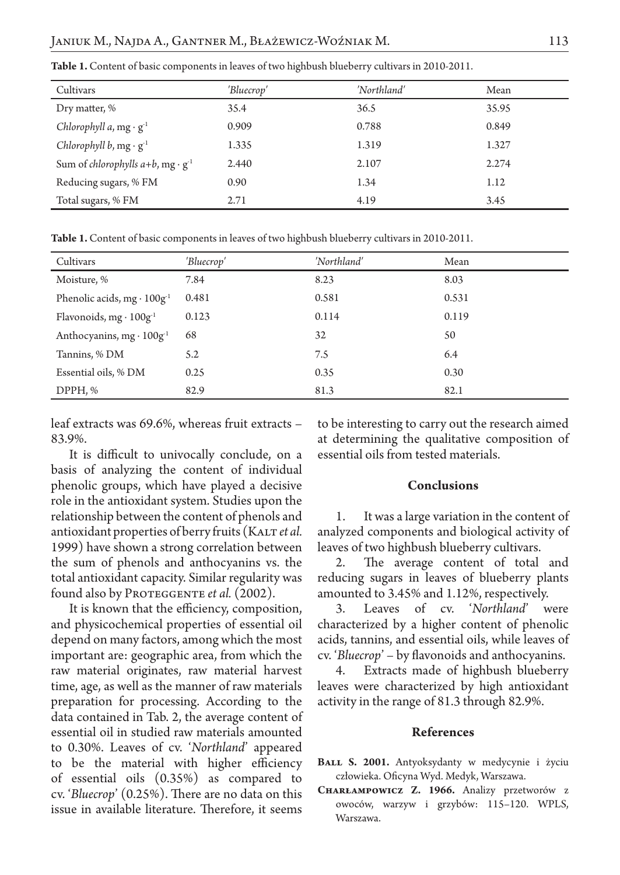| Cultivars                                              | 'Bluecrop' | 'Northland' | Mean  |
|--------------------------------------------------------|------------|-------------|-------|
| Dry matter, %                                          | 35.4       | 36.5        | 35.95 |
| Chlorophyll a, $mg \cdot g^{-1}$                       | 0.909      | 0.788       | 0.849 |
| Chlorophyll b, $mg \cdot g^{-1}$                       | 1.335      | 1.319       | 1.327 |
| Sum of chlorophylls $a+b$ , mg $\cdot$ g <sup>-1</sup> | 2.440      | 2.107       | 2.274 |
| Reducing sugars, % FM                                  | 0.90       | 1.34        | 1.12  |
| Total sugars, % FM                                     | 2.71       | 4.19        | 3.45  |

**Table 1.** Content of basic components in leaves of two highbush blueberry cultivars in 2010-2011.

**Table 1.** Content of basic components in leaves of two highbush blueberry cultivars in 2010-2011.

| Cultivars                            | 'Bluecrop' | 'Northland' | Mean  |
|--------------------------------------|------------|-------------|-------|
| Moisture, %                          | 7.84       | 8.23        | 8.03  |
| Phenolic acids, $mg \cdot 100g^{-1}$ | 0.481      | 0.581       | 0.531 |
| Flavonoids, mg · 100g <sup>-1</sup>  | 0.123      | 0.114       | 0.119 |
| Anthocyanins, $mg \cdot 100g^{-1}$   | 68         | 32          | 50    |
| Tannins, % DM                        | 5.2        | 7.5         | 6.4   |
| Essential oils, % DM                 | 0.25       | 0.35        | 0.30  |
| DPPH, %                              | 82.9       | 81.3        | 82.1  |

leaf extracts was 69.6%, whereas fruit extracts – 83.9%.

It is difficult to univocally conclude, on a basis of analyzing the content of individual phenolic groups, which have played a decisive role in the antioxidant system. Studies upon the relationship between the content of phenols and antioxidant properties of berry fruits (KALT *et al.* 1999) have shown a strong correlation between the sum of phenols and anthocyanins vs. the total antioxidant capacity. Similar regularity was found also by PROTEGGENTE *et al.* (2002).

It is known that the efficiency, composition, and physicochemical properties of essential oil depend on many factors, among which the most important are: geographic area, from which the raw material originates, raw material harvest time, age, as well as the manner of raw materials preparation for processing. According to the data contained in Tab. 2, the average content of essential oil in studied raw materials amounted to 0.30%. Leaves of cv. '*Northland*' appeared to be the material with higher efficiency of essential oils (0.35%) as compared to cv. '*Bluecrop*' (0.25%). There are no data on this issue in available literature. Therefore, it seems

to be interesting to carry out the research aimed at determining the qualitative composition of essential oils from tested materials.

### **Conclusions**

1. It was a large variation in the content of analyzed components and biological activity of leaves of two highbush blueberry cultivars.

2. The average content of total and reducing sugars in leaves of blueberry plants amounted to 3.45% and 1.12%, respectively.

3. Leaves of cv. '*Northland*' were characterized by a higher content of phenolic acids, tannins, and essential oils, while leaves of cv. '*Bluecrop*' – by flavonoids and anthocyanins.

4. Extracts made of highbush blueberry leaves were characterized by high antioxidant activity in the range of 81.3 through 82.9%.

#### **References**

**Ball S. 2001.** Antyoksydanty w medycynie i życiu człowieka. Oficyna Wyd. Medyk, Warszawa.

**Charłampowicz Z. 1966.** Analizy przetworów z owoców, warzyw i grzybów: 115–120. WPLS, Warszawa.